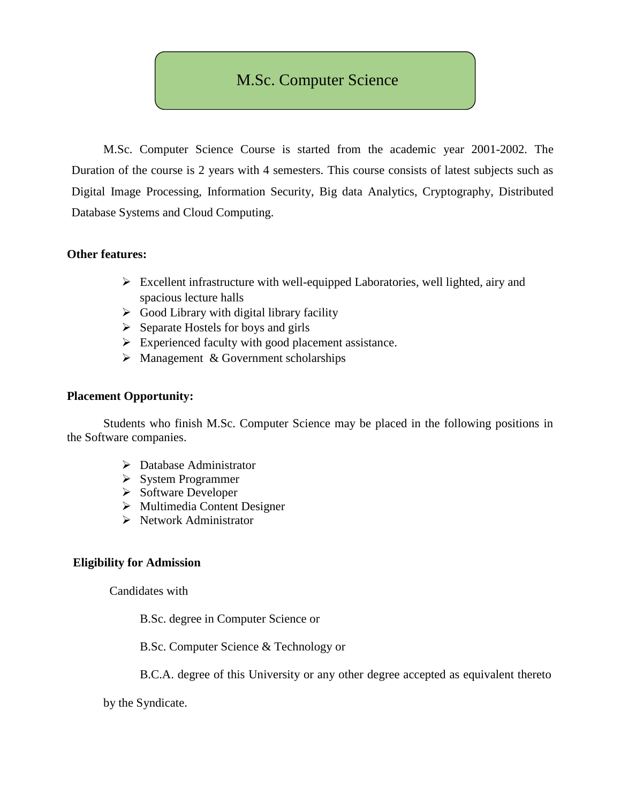## M.Sc. Computer Science

M.Sc. Computer Science Course is started from the academic year 2001-2002. The Duration of the course is 2 years with 4 semesters. This course consists of latest subjects such as Digital Image Processing, Information Security, Big data Analytics, Cryptography, Distributed Database Systems and Cloud Computing.

#### **Other features:**

- $\triangleright$  Excellent infrastructure with well-equipped Laboratories, well lighted, airy and spacious lecture halls
- $\triangleright$  Good Library with digital library facility
- $\triangleright$  Separate Hostels for boys and girls
- $\triangleright$  Experienced faculty with good placement assistance.
- $\triangleright$  Management & Government scholarships

#### **Placement Opportunity:**

Students who finish M.Sc. Computer Science may be placed in the following positions in the Software companies.

- Database Administrator
- $\triangleright$  System Programmer
- $\triangleright$  Software Developer
- $\triangleright$  Multimedia Content Designer
- $\triangleright$  Network Administrator

#### **Eligibility for Admission**

Candidates with

B.Sc. degree in Computer Science or

B.Sc. Computer Science & Technology or

B.C.A. degree of this University or any other degree accepted as equivalent thereto

by the Syndicate.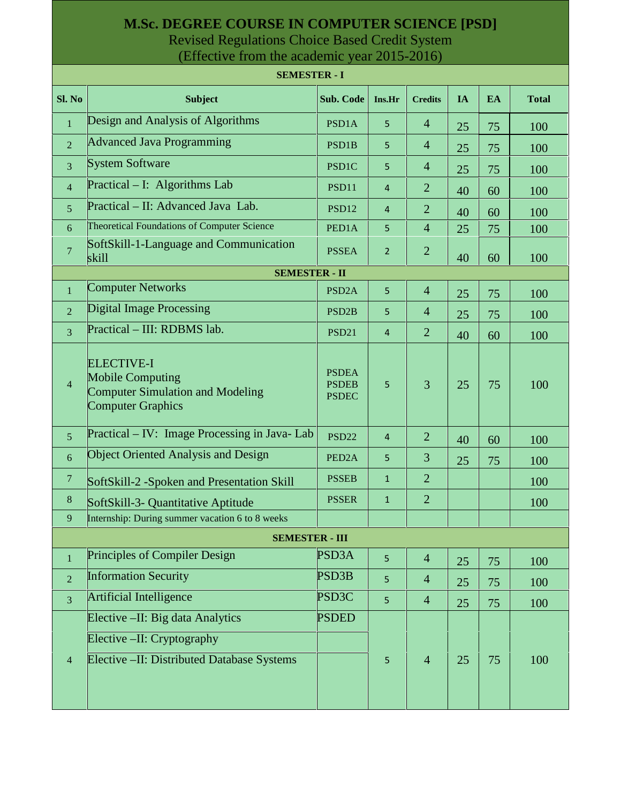### **M.Sc. DEGREE COURSE IN COMPUTER SCIENCE [PSD]** Revised Regulations Choice Based Credit System

(Effective from the academic year 2015-2016)

|                       | <b>SEMESTER - I</b>                                                                                                 |                                              |                |                |    |    |              |  |  |  |
|-----------------------|---------------------------------------------------------------------------------------------------------------------|----------------------------------------------|----------------|----------------|----|----|--------------|--|--|--|
| Sl. No                | <b>Subject</b>                                                                                                      | Sub. Code                                    | Ins.Hr         | <b>Credits</b> | IA | EA | <b>Total</b> |  |  |  |
| $\mathbf{1}$          | Design and Analysis of Algorithms                                                                                   | PSD1A                                        | 5              | $\overline{4}$ | 25 | 75 | 100          |  |  |  |
| $\overline{2}$        | <b>Advanced Java Programming</b>                                                                                    | PSD1B                                        | 5              | $\overline{4}$ | 25 | 75 | 100          |  |  |  |
| $\overline{3}$        | <b>System Software</b>                                                                                              | PSD1C                                        | 5              | $\overline{4}$ | 25 | 75 | 100          |  |  |  |
| $\overline{4}$        | Practical – I: Algorithms Lab                                                                                       | PSD11                                        | 4              | $\overline{2}$ | 40 | 60 | 100          |  |  |  |
| 5 <sup>5</sup>        | Practical – II: Advanced Java Lab.                                                                                  | PSD12                                        | 4              | $\overline{2}$ | 40 | 60 | 100          |  |  |  |
| 6                     | Theoretical Foundations of Computer Science                                                                         | PED1A                                        | 5              | $\overline{4}$ | 25 | 75 | 100          |  |  |  |
| $\overline{7}$        | SoftSkill-1-Language and Communication<br>skill                                                                     | <b>PSSEA</b>                                 | $\overline{2}$ | $\overline{2}$ | 40 | 60 | 100          |  |  |  |
| <b>SEMESTER - II</b>  |                                                                                                                     |                                              |                |                |    |    |              |  |  |  |
| $\mathbf{1}$          | <b>Computer Networks</b>                                                                                            | PSD <sub>2</sub> A                           | 5              | $\overline{4}$ | 25 | 75 | 100          |  |  |  |
| $\overline{2}$        | <b>Digital Image Processing</b>                                                                                     | PSD <sub>2B</sub>                            | 5              | $\overline{4}$ | 25 | 75 | 100          |  |  |  |
| $\overline{3}$        | Practical - III: RDBMS lab.                                                                                         | <b>PSD21</b>                                 | $\overline{4}$ | $\overline{2}$ | 40 | 60 | 100          |  |  |  |
| $\overline{4}$        | <b>ELECTIVE-I</b><br><b>Mobile Computing</b><br><b>Computer Simulation and Modeling</b><br><b>Computer Graphics</b> | <b>PSDEA</b><br><b>PSDEB</b><br><b>PSDEC</b> | 5              | 3              | 25 | 75 | 100          |  |  |  |
| $5\overline{)}$       | Practical – IV: Image Processing in Java-Lab                                                                        | <b>PSD22</b>                                 | $\overline{4}$ | $\overline{2}$ | 40 | 60 | 100          |  |  |  |
| 6                     | <b>Object Oriented Analysis and Design</b>                                                                          | PED <sub>2</sub> A                           | 5              | 3              | 25 | 75 | 100          |  |  |  |
| $\boldsymbol{7}$      | SoftSkill-2 -Spoken and Presentation Skill                                                                          | <b>PSSEB</b>                                 | $\mathbf{1}$   | $\overline{2}$ |    |    | 100          |  |  |  |
| $\,8\,$               | SoftSkill-3- Quantitative Aptitude                                                                                  | <b>PSSER</b>                                 | $\mathbf{1}$   | $\overline{2}$ |    |    | 100          |  |  |  |
| 9                     | Internship: During summer vacation 6 to 8 weeks                                                                     |                                              |                |                |    |    |              |  |  |  |
| <b>SEMESTER - III</b> |                                                                                                                     |                                              |                |                |    |    |              |  |  |  |
| $\mathbf{1}$          | Principles of Compiler Design                                                                                       | PSD3A                                        | 5              | $\overline{4}$ | 25 | 75 | 100          |  |  |  |
| $\overline{2}$        | <b>Information Security</b>                                                                                         | <b>PSD3B</b>                                 | 5              | $\overline{4}$ | 25 | 75 | 100          |  |  |  |
| $\overline{3}$        | Artificial Intelligence                                                                                             | PSD3C                                        | 5              | $\overline{4}$ | 25 | 75 | 100          |  |  |  |
|                       | Elective - II: Big data Analytics                                                                                   | <b>PSDED</b>                                 |                |                |    |    |              |  |  |  |
|                       | Elective –II: Cryptography                                                                                          |                                              |                |                |    |    |              |  |  |  |
| $\overline{4}$        | Elective - II: Distributed Database Systems                                                                         |                                              | 5              | $\overline{4}$ | 25 | 75 | 100          |  |  |  |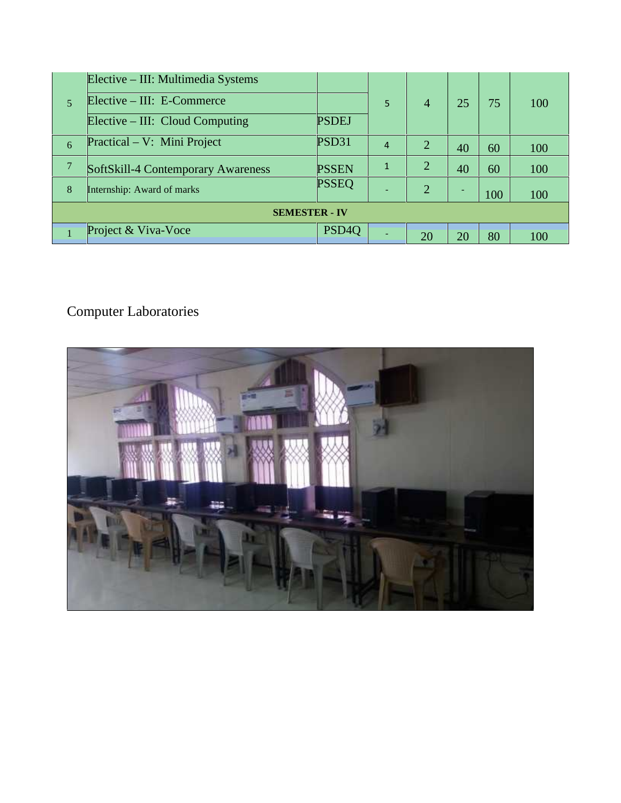| 5                    | Elective – III: Multimedia Systems |                   | 5              | $\overline{4}$ | 25 | 75  | 100 |  |
|----------------------|------------------------------------|-------------------|----------------|----------------|----|-----|-----|--|
|                      | Elective – III: E-Commerce         |                   |                |                |    |     |     |  |
|                      | Elective $- III: Cloud Computing$  | <b>PSDEJ</b>      |                |                |    |     |     |  |
| 6                    | Practical – V: Mini Project        | PSD31             | $\overline{4}$ | 2              | 40 | 60  | 100 |  |
| 7                    | SoftSkill-4 Contemporary Awareness | <b>PSSEN</b>      | 1              | $\overline{2}$ | 40 | 60  | 100 |  |
| 8                    | Internship: Award of marks         | <b>PSSEQ</b>      |                | 2              |    | 100 | 100 |  |
| <b>SEMESTER - IV</b> |                                    |                   |                |                |    |     |     |  |
|                      | Project & Viva-Voce                | PSD <sub>40</sub> |                | 20             | 20 | 80  | 100 |  |

# Computer Laboratories

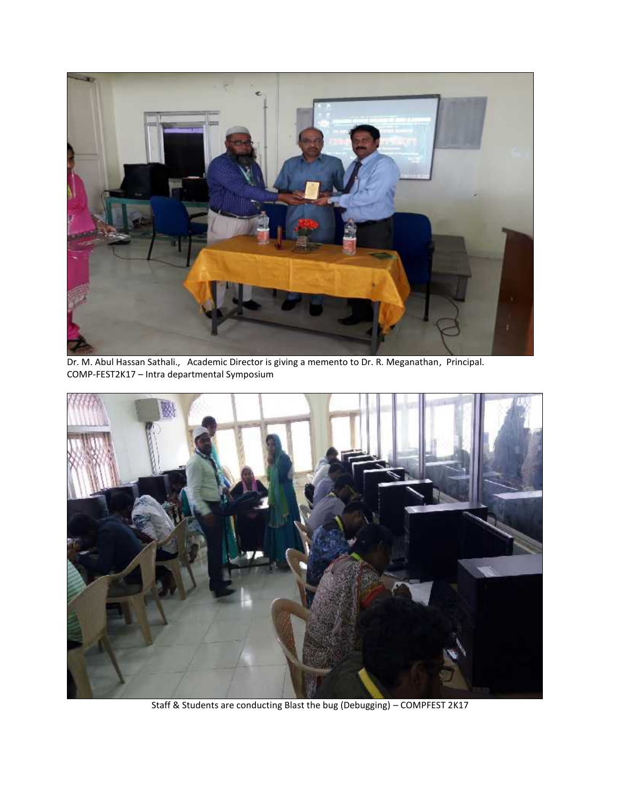

Dr. M. Abul Hassan Sathali., Academic Director is giving a memento to Dr. R. Meganathan, Principal. COMP-FEST2K17 – Intra departmental Symposium



Staff & Students are conducting Blast the bug (Debugging) – COMPFEST 2K17